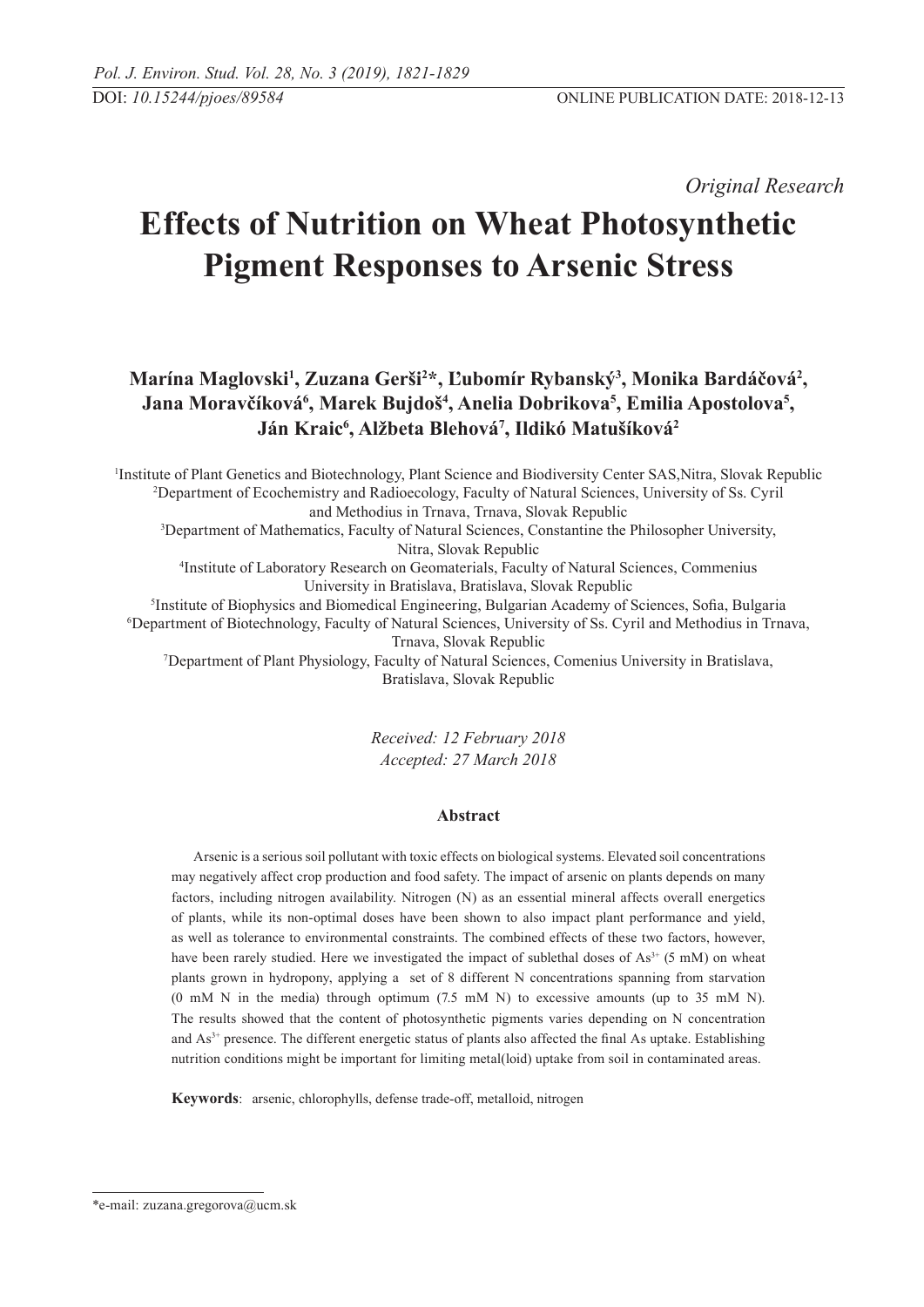*Original Research* 

# **Effects of Nutrition on Wheat Photosynthetic Pigment Responses to Arsenic Stress**

Marína Maglovski<sup>1</sup>, Zuzana Gerši<sup>2</sup>\*, Ľubomír Rybanský<sup>3</sup>, Monika Bardáčová<sup>2</sup>,  $J$ ana Moravčíková<sup>6</sup>, Marek Bujdoš<sup>4</sup>, Anelia Dobrikova<sup>5</sup>, Emilia Apostolova<sup>5</sup>, **Ján Kraic6 , Alžbeta Blehová7 , Ildikó Matušíková2**

1 Institute of Plant Genetics and Biotechnology, Plant Science and Biodiversity Center SAS,Nitra, Slovak Republic 2 Department of Ecochemistry and Radioecology, Faculty of Natural Sciences, University of Ss. Cyril and Methodius in Trnava, Trnava, Slovak Republic 3 Department of Mathematics, Faculty of Natural Sciences, Constantine the Philosopher University, Nitra, Slovak Republic 4 Institute of Laboratory Research on Geomaterials, Faculty of Natural Sciences, Commenius University in Bratislava, Bratislava, Slovak Republic 5 Institute of Biophysics and Biomedical Engineering, Bulgarian Academy of Sciences, Sofia, Bulgaria 6 Department of Biotechnology, Faculty of Natural Sciences, University of Ss. Cyril and Methodius in Trnava, Trnava, Slovak Republic 7 Department of Plant Physiology, Faculty of Natural Sciences, Comenius University in Bratislava, Bratislava, Slovak Republic

> *Received: 12 February 2018 Accepted: 27 March 2018*

# **Abstract**

Arsenic is a serious soil pollutant with toxic effects on biological systems. Elevated soil concentrations may negatively affect crop production and food safety. The impact of arsenic on plants depends on many factors, including nitrogen availability. Nitrogen (N) as an essential mineral affects overall energetics of plants, while its non-optimal doses have been shown to also impact plant performance and yield, as well as tolerance to environmental constraints. The combined effects of these two factors, however, have been rarely studied. Here we investigated the impact of sublethal doses of  $As<sup>3+</sup>$  (5 mM) on wheat plants grown in hydropony, applying a set of 8 different N concentrations spanning from starvation (0 mM N in the media) through optimum  $(7.5 \text{ mM N})$  to excessive amounts (up to 35 mM N). The results showed that the content of photosynthetic pigments varies depending on N concentration and  $As<sup>3+</sup>$  presence. The different energetic status of plants also affected the final As uptake. Establishing nutrition conditions might be important for limiting metal(loid) uptake from soil in contaminated areas.

**Keywords**: arsenic, chlorophylls, defense trade-off, metalloid, nitrogen

<sup>\*</sup>e-mail: zuzana.gregorova@ucm.sk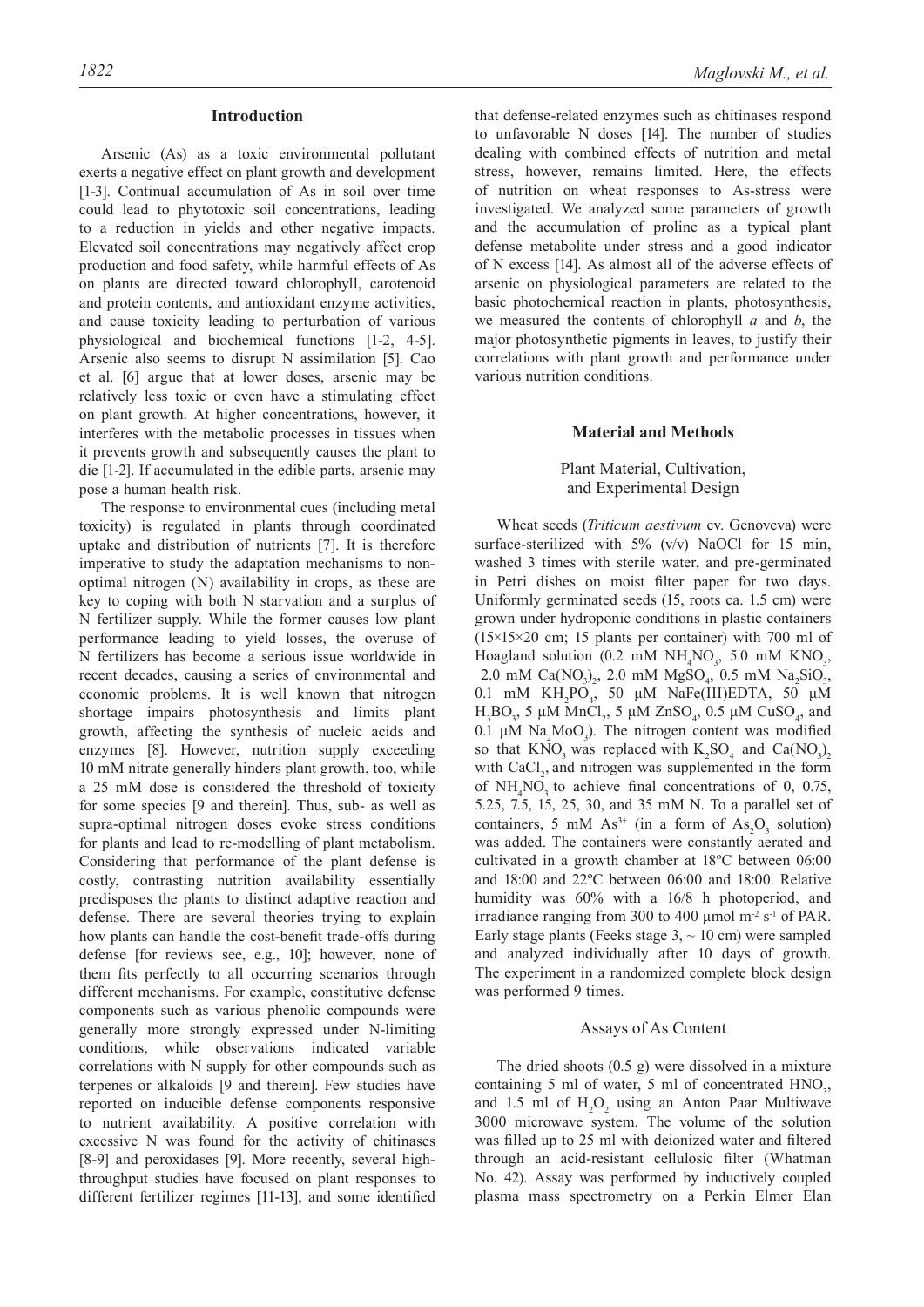#### **Introduction**

Arsenic (As) as a toxic environmental pollutant exerts a negative effect on plant growth and development [1-3]. Continual accumulation of As in soil over time could lead to phytotoxic soil concentrations, leading to a reduction in yields and other negative impacts. Elevated soil concentrations may negatively affect crop production and food safety, while harmful effects of As on plants are directed toward chlorophyll, carotenoid and protein contents, and antioxidant enzyme activities, and cause toxicity leading to perturbation of various physiological and biochemical functions [1-2, 4-5]. Arsenic also seems to disrupt N assimilation [5]. Cao et al. [6] argue that at lower doses, arsenic may be relatively less toxic or even have a stimulating effect on plant growth. At higher concentrations, however, it interferes with the metabolic processes in tissues when it prevents growth and subsequently causes the plant to die [1-2]. If accumulated in the edible parts, arsenic may pose a human health risk.

The response to environmental cues (including metal toxicity) is regulated in plants through coordinated uptake and distribution of nutrients [7]. It is therefore imperative to study the adaptation mechanisms to nonoptimal nitrogen (N) availability in crops, as these are key to coping with both N starvation and a surplus of N fertilizer supply. While the former causes low plant performance leading to yield losses, the overuse of N fertilizers has become a serious issue worldwide in recent decades, causing a series of environmental and economic problems. It is well known that nitrogen shortage impairs photosynthesis and limits plant growth, affecting the synthesis of nucleic acids and enzymes [8]. However, nutrition supply exceeding 10 mM nitrate generally hinders plant growth, too, while a 25 mM dose is considered the threshold of toxicity for some species [9 and therein]. Thus, sub- as well as supra-optimal nitrogen doses evoke stress conditions for plants and lead to re-modelling of plant metabolism. Considering that performance of the plant defense is costly, contrasting nutrition availability essentially predisposes the plants to distinct adaptive reaction and defense. There are several theories trying to explain how plants can handle the cost-benefit trade-offs during defense [for reviews see, e.g., 10]; however, none of them fits perfectly to all occurring scenarios through different mechanisms. For example, constitutive defense components such as various phenolic compounds were generally more strongly expressed under N-limiting conditions, while observations indicated variable correlations with N supply for other compounds such as terpenes or alkaloids [9 and therein]. Few studies have reported on inducible defense components responsive to nutrient availability. A positive correlation with excessive N was found for the activity of chitinases [8-9] and peroxidases [9]. More recently, several highthroughput studies have focused on plant responses to different fertilizer regimes [11-13], and some identified

that defense-related enzymes such as chitinases respond to unfavorable N doses [14]. The number of studies dealing with combined effects of nutrition and metal stress, however, remains limited. Here, the effects of nutrition on wheat responses to As-stress were investigated. We analyzed some parameters of growth and the accumulation of proline as a typical plant defense metabolite under stress and a good indicator of N excess [14]. As almost all of the adverse effects of arsenic on physiological parameters are related to the basic photochemical reaction in plants, photosynthesis, we measured the contents of chlorophyll *a* and *b*, the major photosynthetic pigments in leaves, to justify their correlations with plant growth and performance under various nutrition conditions.

#### **Material and Methods**

## Plant Material, Cultivation, and Experimental Design

Wheat seeds (*Triticum aestivum* cv. Genoveva) were surface-sterilized with  $5\%$  (v/v) NaOCl for 15 min, washed 3 times with sterile water, and pre-germinated in Petri dishes on moist filter paper for two days. Uniformly germinated seeds (15, roots ca. 1.5 cm) were grown under hydroponic conditions in plastic containers (15×15×20 cm; 15 plants per container) with 700 ml of Hoagland solution (0.2 mM  $NH_4NO_3$ , 5.0 mM  $KNO_3$ , 2.0 mM  $Ca(NO<sub>3</sub>)<sub>2</sub>$ , 2.0 mM  $MgSO<sub>4</sub>$ , 0.5 mM  $Na<sub>2</sub>SiO<sub>3</sub>$ , 0.1 mM  $KH_2PO_4$ , 50 μM NaFe(III)EDTA, 50 μM H<sub>3</sub>BO<sub>3</sub>, 5 μM MnCl<sub>2</sub>, 5 μM ZnSO<sub>4</sub>, 0.5 μM CuSO<sub>4</sub>, and 0.1 μM  $\text{Na}_2\text{MoO}_3$ ). The nitrogen content was modified so that  $KNO_3$  was replaced with  $K_2SO_4$  and  $Ca(NO_3)_2$ with  $CaCl<sub>2</sub>$ , and nitrogen was supplemented in the form of  $NH<sub>4</sub>NO<sub>3</sub>$  to achieve final concentrations of 0, 0.75, 5.25, 7.5, 15, 25, 30, and 35 mM N. To a parallel set of containers, 5 mM  $As^{3+}$  (in a form of  $As_2O_3$  solution) was added. The containers were constantly aerated and cultivated in a growth chamber at 18ºC between 06:00 and 18:00 and 22ºC between 06:00 and 18:00. Relative humidity was 60% with a 16/8 h photoperiod, and irradiance ranging from 300 to 400  $\mu$ mol m<sup>-2</sup> s<sup>-1</sup> of PAR. Early stage plants (Feeks stage  $3, \sim 10$  cm) were sampled and analyzed individually after 10 days of growth. The experiment in a randomized complete block design was performed 9 times.

#### Assays of As Content

The dried shoots (0.5 g) were dissolved in a mixture containing 5 ml of water, 5 ml of concentrated  $HNO<sub>3</sub>$ , and 1.5 ml of  $H_2O_2$  using an Anton Paar Multiwave 3000 microwave system. The volume of the solution was filled up to 25 ml with deionized water and filtered through an acid-resistant cellulosic filter (Whatman No. 42). Assay was performed by inductively coupled plasma mass spectrometry on a Perkin Elmer Elan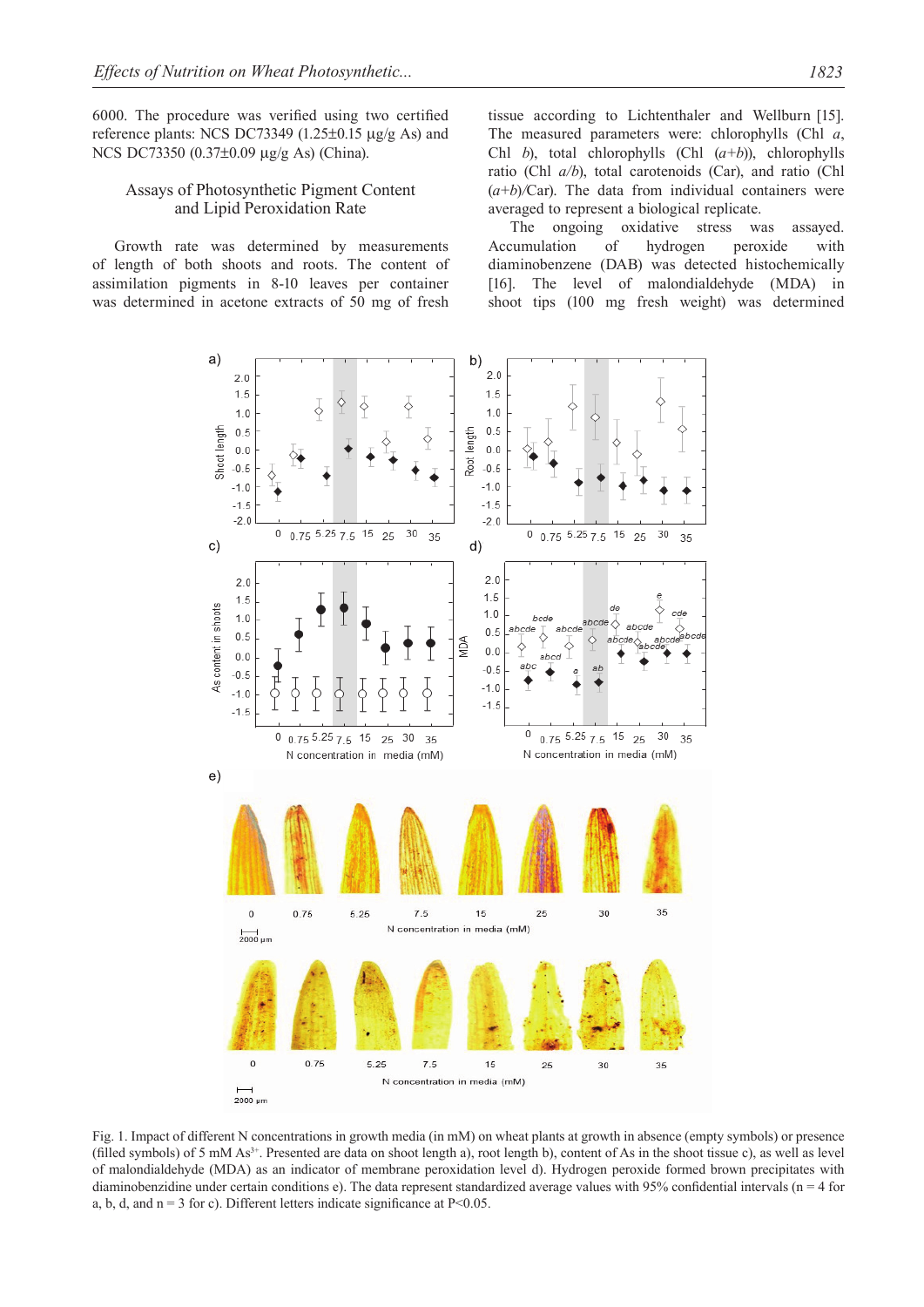6000. The procedure was verified using two certified reference plants: NCS DC73349 (1.25±0.15 µg/g As) and NCS DC73350 (0.37±0.09 µg/g As) (China).

### Assays of Photosynthetic Pigment Content and Lipid Peroxidation Rate

Growth rate was determined by measurements of length of both shoots and roots. The content of assimilation pigments in 8-10 leaves per container was determined in acetone extracts of 50 mg of fresh tissue according to Lichtenthaler and Wellburn [15]. The measured parameters were: chlorophylls (Chl *a*, Chl *b*), total chlorophylls (Chl (*a+b*)), chlorophylls ratio (Chl *a/b*), total carotenoids (Car), and ratio (Chl  $(a+b)/C$ ar). The data from individual containers were averaged to represent a biological replicate.

The ongoing oxidative stress was assayed. Accumulation of hydrogen peroxide with diaminobenzene (DAB) was detected histochemically [16]. The level of malondialdehyde (MDA) in shoot tips (100 mg fresh weight) was determined



Fig. 1. Impact of different N concentrations in growth media (in mM) on wheat plants at growth in absence (empty symbols) or presence (filled symbols) of 5 mM As3+. Presented are data on shoot length a), root length b), content of As in the shoot tissue c), as well as level of malondialdehyde (MDA) as an indicator of membrane peroxidation level d). Hydrogen peroxide formed brown precipitates with diaminobenzidine under certain conditions e). The data represent standardized average values with 95% confidential intervals (n = 4 for a, b, d, and  $n = 3$  for c). Different letters indicate significance at P<0.05.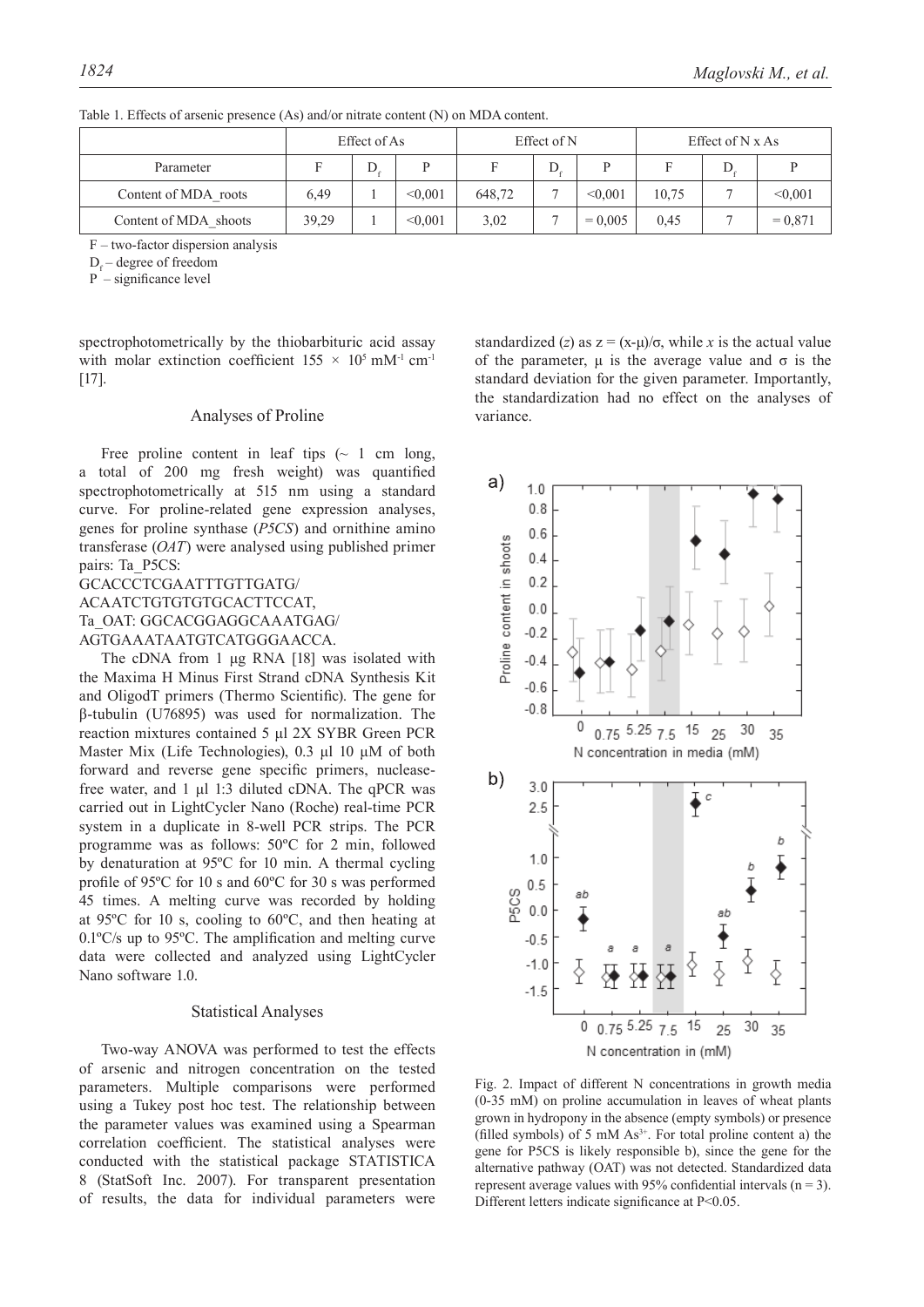|                       | Effect of As |   |         | Effect of N |   |           | Effect of $N x As$ |  |           |
|-----------------------|--------------|---|---------|-------------|---|-----------|--------------------|--|-----------|
| Parameter             |              | D |         |             | D | D         |                    |  |           |
| Content of MDA roots  | 6.49         |   | < 0.001 | 648,72      |   | < 0.001   | 10.75              |  | < 0.001   |
| Content of MDA shoots | 39,29        |   | < 0.001 | 3,02        |   | $= 0.005$ | 0.45               |  | $= 0.871$ |

Table 1. Effects of arsenic presence (As) and/or nitrate content (N) on MDA content.

F – two-factor dispersion analysis

 $D_f$  – degree of freedom

P – significance level

spectrophotometrically by the thiobarbituric acid assay with molar extinction coefficient  $155 \times 10^5$  mM<sup>-1</sup> cm<sup>-1</sup> [17].

#### Analyses of Proline

Free proline content in leaf tips  $\sim 1$  cm long, a total of 200 mg fresh weight) was quantified spectrophotometrically at 515 nm using a standard curve. For proline-related gene expression analyses, genes for proline synthase (*P5CS*) and ornithine amino transferase (*OAT*) were analysed using published primer pairs: Ta\_P5CS:

## GCACCCTCGAATTTGTTGATG/ ACAATCTGTGTGTGCACTTCCAT, Ta\_OAT: GGCACGGAGGCAAATGAG/ AGTGAAATAATGTCATGGGAACCA.

The cDNA from 1 μg RNA [18] was isolated with the Maxima H Minus First Strand cDNA Synthesis Kit and OligodT primers (Thermo Scientific). The gene for β-tubulin (U76895) was used for normalization. The reaction mixtures contained 5 μl 2X SYBR Green PCR Master Mix (Life Technologies), 0.3 μl 10 μM of both forward and reverse gene specific primers, nucleasefree water, and 1 μl 1:3 diluted cDNA. The qPCR was carried out in LightCycler Nano (Roche) real-time PCR system in a duplicate in 8-well PCR strips. The PCR programme was as follows: 50ºC for 2 min, followed by denaturation at 95ºC for 10 min. A thermal cycling profile of 95ºC for 10 s and 60ºC for 30 s was performed 45 times. A melting curve was recorded by holding at 95ºC for 10 s, cooling to 60ºC, and then heating at 0.1ºC/s up to 95ºC. The amplification and melting curve data were collected and analyzed using LightCycler Nano software 1.0.

## Statistical Analyses

Two-way ANOVA was performed to test the effects of arsenic and nitrogen concentration on the tested parameters. Multiple comparisons were performed using a Tukey post hoc test. The relationship between the parameter values was examined using a Spearman correlation coefficient. The statistical analyses were conducted with the statistical package STATISTICA 8 (StatSoft Inc. 2007). For transparent presentation of results, the data for individual parameters were standardized (*z*) as  $z = (x-\mu)/\sigma$ , while *x* is the actual value of the parameter,  $\mu$  is the average value and  $\sigma$  is the standard deviation for the given parameter. Importantly, the standardization had no effect on the analyses of variance.



Fig. 2. Impact of different N concentrations in growth media (0-35 mM) on proline accumulation in leaves of wheat plants grown in hydropony in the absence (empty symbols) or presence (filled symbols) of 5 mM  $As<sup>3+</sup>$ . For total proline content a) the gene for P5CS is likely responsible b), since the gene for the alternative pathway (OAT) was not detected. Standardized data represent average values with 95% confidential intervals  $(n = 3)$ . Different letters indicate significance at P<0.05.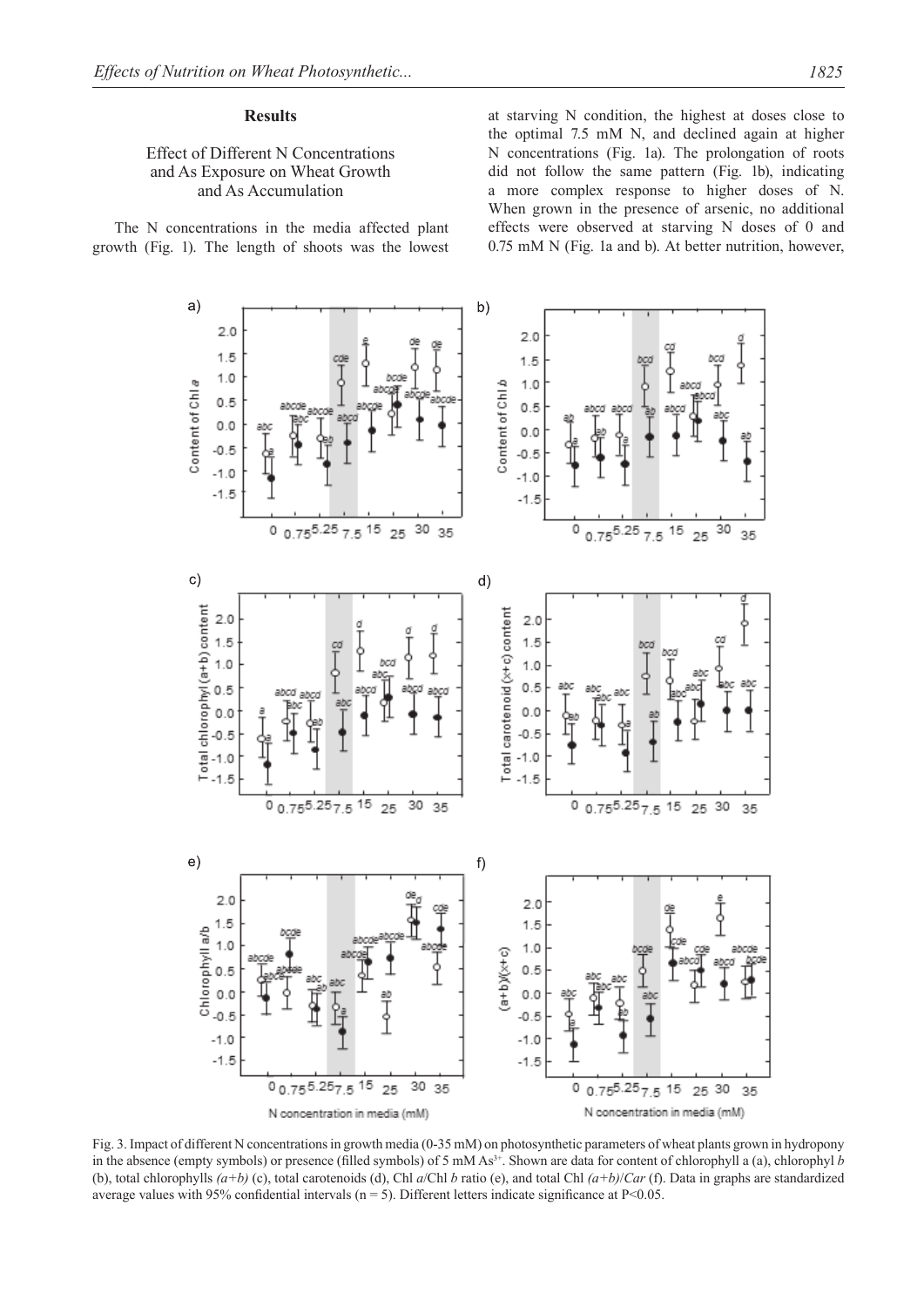#### **Results**

# Effect of Different N Concentrations and As Exposure on Wheat Growth and As Accumulation

The N concentrations in the media affected plant growth (Fig. 1). The length of shoots was the lowest at starving N condition, the highest at doses close to the optimal 7.5 mM N, and declined again at higher N concentrations (Fig. 1a). The prolongation of roots did not follow the same pattern (Fig. 1b), indicating a more complex response to higher doses of N. When grown in the presence of arsenic, no additional effects were observed at starving N doses of 0 and 0.75 mM N (Fig. 1a and b). At better nutrition, however,



Fig. 3. Impact of different N concentrations in growth media (0-35 mM) on photosynthetic parameters of wheat plants grown in hydropony in the absence (empty symbols) or presence (filled symbols) of 5 mM As<sup>3+</sup>. Shown are data for content of chlorophyll a (a), chlorophyl *b* (b), total chlorophylls *(a+b)* (c), total carotenoids (d), Chl *a*/Chl *b* ratio (e), and total Chl *(a+b)*/*Car* (f). Data in graphs are standardized average values with 95% confidential intervals ( $n = 5$ ). Different letters indicate significance at P<0.05.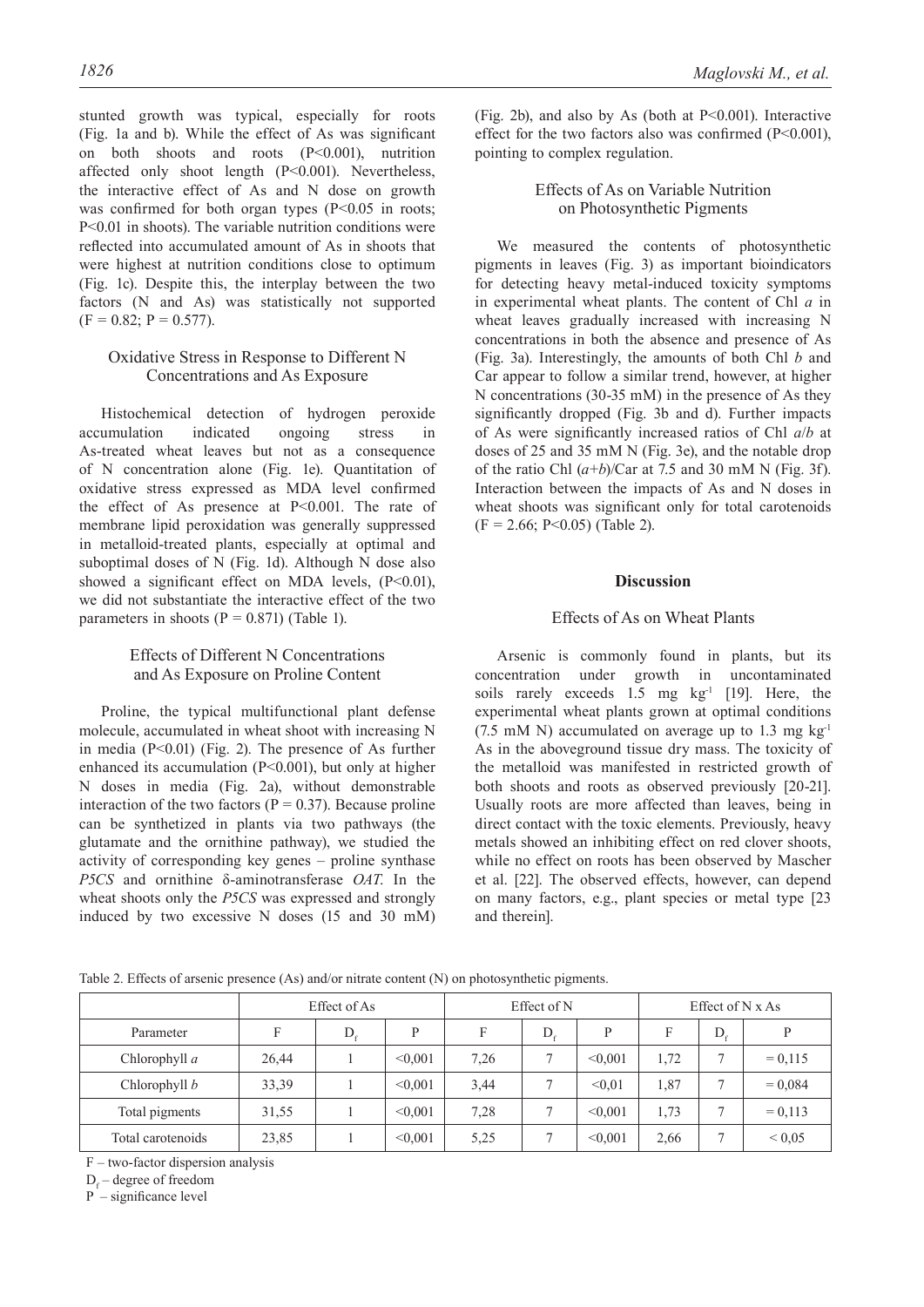stunted growth was typical, especially for roots (Fig. 1a and b). While the effect of As was significant on both shoots and roots (P<0.001), nutrition affected only shoot length (P<0.001). Nevertheless, the interactive effect of As and N dose on growth was confirmed for both organ types  $(P<0.05$  in roots; P<0.01 in shoots). The variable nutrition conditions were reflected into accumulated amount of As in shoots that were highest at nutrition conditions close to optimum (Fig. 1c). Despite this, the interplay between the two factors (N and As) was statistically not supported  $(F = 0.82; P = 0.577).$ 

## Oxidative Stress in Response to Different N Concentrations and As Exposure

Histochemical detection of hydrogen peroxide accumulation indicated ongoing stress in As-treated wheat leaves but not as a consequence of N concentration alone (Fig. 1e). Quantitation of oxidative stress expressed as MDA level confirmed the effect of As presence at P<0.001. The rate of membrane lipid peroxidation was generally suppressed in metalloid-treated plants, especially at optimal and suboptimal doses of N (Fig. 1d). Although N dose also showed a significant effect on MDA levels,  $(P<0.01)$ , we did not substantiate the interactive effect of the two parameters in shoots ( $P = 0.871$ ) (Table 1).

## Effects of Different N Concentrations and As Exposure on Proline Content

Proline, the typical multifunctional plant defense molecule, accumulated in wheat shoot with increasing N in media  $(P<0.01)$  (Fig. 2). The presence of As further enhanced its accumulation (P<0.001), but only at higher N doses in media (Fig. 2a), without demonstrable interaction of the two factors ( $P = 0.37$ ). Because proline can be synthetized in plants via two pathways (the glutamate and the ornithine pathway), we studied the activity of corresponding key genes – proline synthase *P5CS* and ornithine δ-aminotransferase *OAT*. In the wheat shoots only the *P5CS* was expressed and strongly induced by two excessive N doses (15 and 30 mM)

(Fig. 2b), and also by As (both at  $P \le 0.001$ ). Interactive effect for the two factors also was confirmed (P<0.001), pointing to complex regulation.

# Effects of As on Variable Nutrition on Photosynthetic Pigments

We measured the contents of photosynthetic pigments in leaves (Fig. 3) as important bioindicators for detecting heavy metal-induced toxicity symptoms in experimental wheat plants. The content of Chl *a* in wheat leaves gradually increased with increasing N concentrations in both the absence and presence of As (Fig. 3a). Interestingly, the amounts of both Chl *b* and Car appear to follow a similar trend, however, at higher N concentrations (30-35 mM) in the presence of As they significantly dropped (Fig. 3b and d). Further impacts of As were significantly increased ratios of Chl *a*/*b* at doses of 25 and 35 mM N (Fig. 3e), and the notable drop of the ratio Chl  $(a+b)/C$ ar at 7.5 and 30 mM N (Fig. 3f). Interaction between the impacts of As and N doses in wheat shoots was significant only for total carotenoids  $(F = 2.66; P < 0.05)$  (Table 2).

#### **Discussion**

## Effects of As on Wheat Plants

Arsenic is commonly found in plants, but its concentration under growth in uncontaminated soils rarely exceeds 1.5 mg  $kg<sup>-1</sup>$  [19]. Here, the experimental wheat plants grown at optimal conditions  $(7.5 \text{ mM N})$  accumulated on average up to 1.3 mg kg<sup>-1</sup> As in the aboveground tissue dry mass. The toxicity of the metalloid was manifested in restricted growth of both shoots and roots as observed previously [20-21]. Usually roots are more affected than leaves, being in direct contact with the toxic elements. Previously, heavy metals showed an inhibiting effect on red clover shoots, while no effect on roots has been observed by Mascher et al. [22]. The observed effects, however, can depend on many factors, e.g., plant species or metal type [23 and therein].

Table 2. Effects of arsenic presence (As) and/or nitrate content (N) on photosynthetic pigments.

|                   | Effect of As |   |         | Effect of N |   | Effect of $N x As$ |      |   |            |
|-------------------|--------------|---|---------|-------------|---|--------------------|------|---|------------|
| Parameter         |              | D | D       | F           | D | P                  |      | D | P          |
| Chlorophyll $a$   | 26,44        |   | < 0.001 | 7.26        |   | < 0.001            | 1,72 | − | $= 0.115$  |
| Chlorophyll $b$   | 33,39        |   | < 0.001 | 3,44        |   | < 0.01             | 1,87 |   | $= 0.084$  |
| Total pigments    | 31,55        |   | < 0.001 | 7,28        |   | < 0.001            | 1,73 |   | $= 0.113$  |
| Total carotenoids | 23,85        |   | < 0.001 | 5,25        |   | < 0.001            | 2,66 |   | ${}< 0.05$ |

F – two-factor dispersion analysis

D<sub>f</sub> – degree of freedom

P – significance level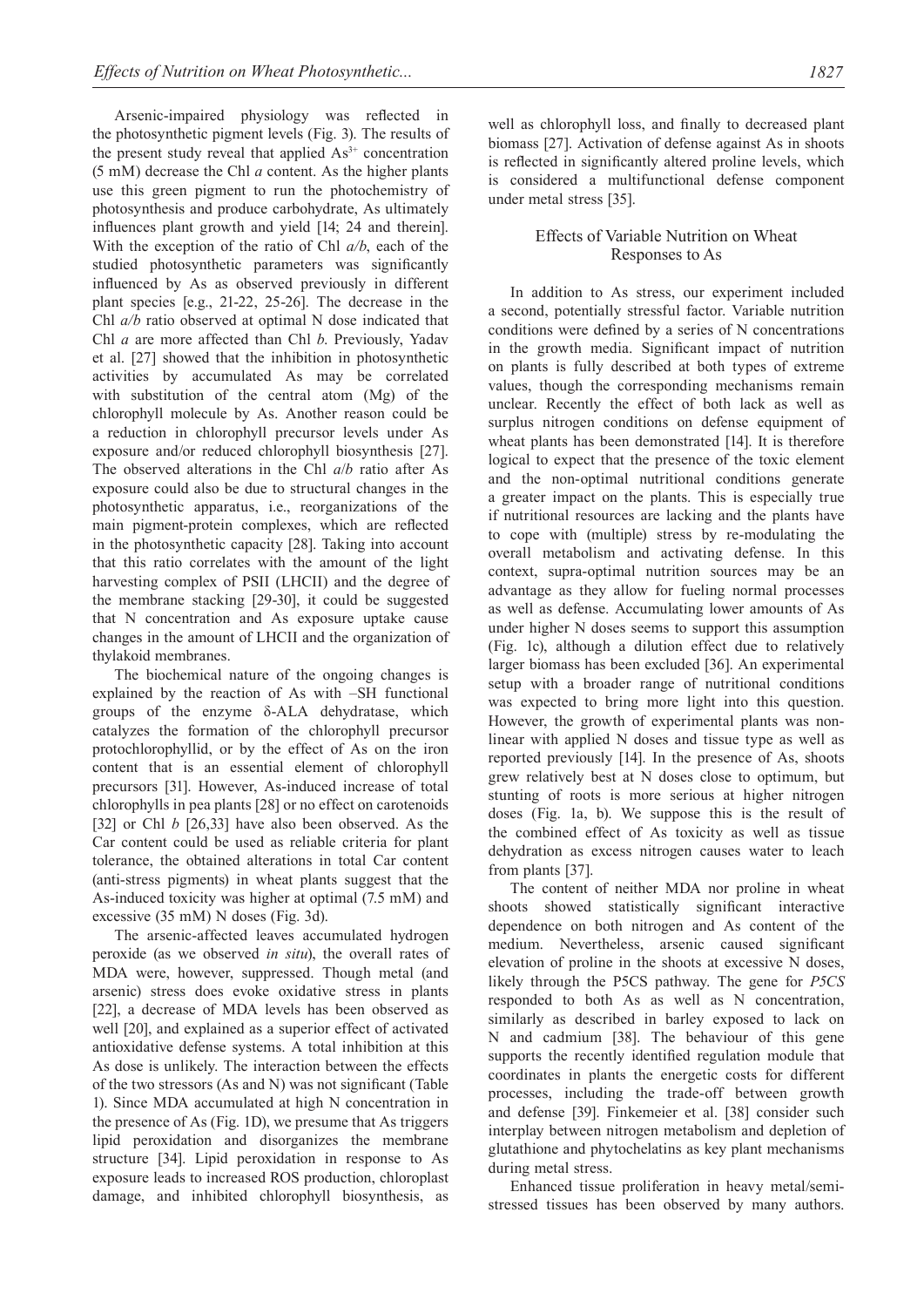Arsenic-impaired physiology was reflected in the photosynthetic pigment levels (Fig. 3). The results of the present study reveal that applied  $As<sup>3+</sup>$  concentration (5 mM) decrease the Chl *a* content. As the higher plants use this green pigment to run the photochemistry of photosynthesis and produce carbohydrate, As ultimately influences plant growth and yield [14; 24 and therein]. With the exception of the ratio of Chl *a/b*, each of the studied photosynthetic parameters was significantly influenced by As as observed previously in different plant species [e.g., 21-22, 25-26]. The decrease in the Chl *a/b* ratio observed at optimal N dose indicated that Chl *a* are more affected than Chl *b*. Previously, Yadav et al. [27] showed that the inhibition in photosynthetic activities by accumulated As may be correlated with substitution of the central atom (Mg) of the chlorophyll molecule by As. Another reason could be a reduction in chlorophyll precursor levels under As exposure and/or reduced chlorophyll biosynthesis [27]. The observed alterations in the Chl *a*/*b* ratio after As exposure could also be due to structural changes in the photosynthetic apparatus, i.e., reorganizations of the main pigment-protein complexes, which are reflected in the photosynthetic capacity [28]. Taking into account that this ratio correlates with the amount of the light harvesting complex of PSII (LHCII) and the degree of the membrane stacking [29-30], it could be suggested that N concentration and As exposure uptake cause changes in the amount of LHCII and the organization of thylakoid membranes.

The biochemical nature of the ongoing changes is explained by the reaction of As with –SH functional groups of the enzyme δ-ALA dehydratase, which catalyzes the formation of the chlorophyll precursor protochlorophyllid, or by the effect of As on the iron content that is an essential element of chlorophyll precursors [31]. However, As-induced increase of total chlorophylls in pea plants [28] or no effect on carotenoids [32] or Chl *b* [26,33] have also been observed. As the Car content could be used as reliable criteria for plant tolerance, the obtained alterations in total Car content (anti-stress pigments) in wheat plants suggest that the As-induced toxicity was higher at optimal (7.5 mM) and excessive (35 mM) N doses (Fig. 3d).

The arsenic-affected leaves accumulated hydrogen peroxide (as we observed *in situ*), the overall rates of MDA were, however, suppressed. Though metal (and arsenic) stress does evoke oxidative stress in plants [22], a decrease of MDA levels has been observed as well [20], and explained as a superior effect of activated antioxidative defense systems. A total inhibition at this As dose is unlikely. The interaction between the effects of the two stressors (As and N) was not significant (Table 1). Since MDA accumulated at high N concentration in the presence of As (Fig. 1D), we presume that As triggers lipid peroxidation and disorganizes the membrane structure [34]. Lipid peroxidation in response to As exposure leads to increased ROS production, chloroplast damage, and inhibited chlorophyll biosynthesis, as well as chlorophyll loss, and finally to decreased plant biomass [27]. Activation of defense against As in shoots is reflected in significantly altered proline levels, which is considered a multifunctional defense component under metal stress [35].

# Effects of Variable Nutrition on Wheat Responses to As

In addition to As stress, our experiment included a second, potentially stressful factor. Variable nutrition conditions were defined by a series of N concentrations in the growth media. Significant impact of nutrition on plants is fully described at both types of extreme values, though the corresponding mechanisms remain unclear. Recently the effect of both lack as well as surplus nitrogen conditions on defense equipment of wheat plants has been demonstrated [14]. It is therefore logical to expect that the presence of the toxic element and the non-optimal nutritional conditions generate a greater impact on the plants. This is especially true if nutritional resources are lacking and the plants have to cope with (multiple) stress by re-modulating the overall metabolism and activating defense. In this context, supra-optimal nutrition sources may be an advantage as they allow for fueling normal processes as well as defense. Accumulating lower amounts of As under higher N doses seems to support this assumption (Fig. 1c), although a dilution effect due to relatively larger biomass has been excluded [36]. An experimental setup with a broader range of nutritional conditions was expected to bring more light into this question. However, the growth of experimental plants was nonlinear with applied N doses and tissue type as well as reported previously [14]. In the presence of As, shoots grew relatively best at N doses close to optimum, but stunting of roots is more serious at higher nitrogen doses (Fig. 1a, b). We suppose this is the result of the combined effect of As toxicity as well as tissue dehydration as excess nitrogen causes water to leach from plants [37].

The content of neither MDA nor proline in wheat shoots showed statistically significant interactive dependence on both nitrogen and As content of the medium. Nevertheless, arsenic caused significant elevation of proline in the shoots at excessive N doses, likely through the P5CS pathway. The gene for *P5CS* responded to both As as well as N concentration, similarly as described in barley exposed to lack on N and cadmium [38]. The behaviour of this gene supports the recently identified regulation module that coordinates in plants the energetic costs for different processes, including the trade-off between growth and defense [39]. Finkemeier et al. [38] consider such interplay between nitrogen metabolism and depletion of glutathione and phytochelatins as key plant mechanisms during metal stress.

Enhanced tissue proliferation in heavy metal/semistressed tissues has been observed by many authors.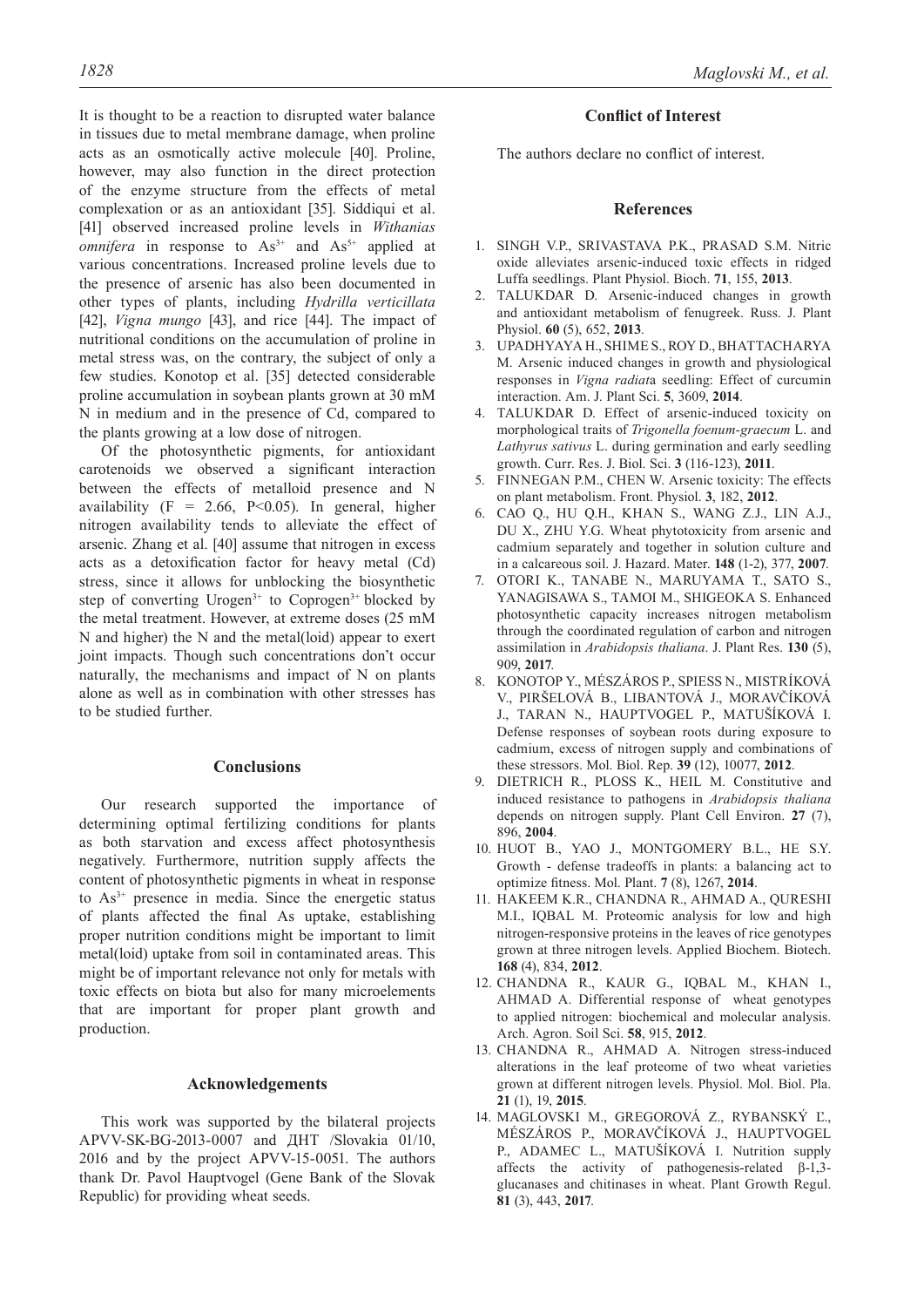It is thought to be a reaction to disrupted water balance in tissues due to metal membrane damage, when proline acts as an osmotically active molecule [40]. Proline, however, may also function in the direct protection of the enzyme structure from the effects of metal complexation or as an antioxidant [35]. Siddiqui et al. [41] observed increased proline levels in *Withanias omnifera* in response to  $As^{3+}$  and  $As^{5+}$  applied at various concentrations. Increased proline levels due to the presence of arsenic has also been documented in other types of plants, including *Hydrilla verticillata* [42], *Vigna mungo* [43], and rice [44]. The impact of

nutritional conditions on the accumulation of proline in metal stress was, on the contrary, the subject of only a few studies. Konotop et al. [35] detected considerable proline accumulation in soybean plants grown at 30 mM N in medium and in the presence of Cd, compared to the plants growing at a low dose of nitrogen.

Of the photosynthetic pigments, for antioxidant carotenoids we observed a significant interaction between the effects of metalloid presence and N availability ( $F = 2.66$ ,  $P < 0.05$ ). In general, higher nitrogen availability tends to alleviate the effect of arsenic. Zhang et al. [40] assume that nitrogen in excess acts as a detoxification factor for heavy metal (Cd) stress, since it allows for unblocking the biosynthetic step of converting Urogen<sup>3+</sup> to Coprogen<sup>3+</sup> blocked by the metal treatment. However, at extreme doses (25 mM N and higher) the N and the metal(loid) appear to exert joint impacts. Though such concentrations don't occur naturally, the mechanisms and impact of N on plants alone as well as in combination with other stresses has to be studied further.

#### **Conclusions**

Our research supported the importance of determining optimal fertilizing conditions for plants as both starvation and excess affect photosynthesis negatively. Furthermore, nutrition supply affects the content of photosynthetic pigments in wheat in response to  $As<sup>3+</sup>$  presence in media. Since the energetic status of plants affected the final As uptake, establishing proper nutrition conditions might be important to limit metal(loid) uptake from soil in contaminated areas. This might be of important relevance not only for metals with toxic effects on biota but also for many microelements that are important for proper plant growth and production.

#### **Acknowledgements**

This work was supported by the bilateral projects APVV-SK-BG-2013-0007 and ДНТ /Slovakia 01/10, 2016 and by the project APVV-15-0051. The authors thank Dr. Pavol Hauptvogel (Gene Bank of the Slovak Republic) for providing wheat seeds.

## **Conflict of Interest**

The authors declare no conflict of interest.

#### **References**

- 1. SINGH V.P., SRIVASTAVA P.K., PRASAD S.M. Nitric oxide alleviates arsenic-induced toxic effects in ridged Luffa seedlings. Plant Physiol. Bioch. **71**, 155, **2013**.
- 2. TALUKDAR D. Arsenic-induced changes in growth and antioxidant metabolism of fenugreek. Russ. J. Plant Physiol. **60** (5), 652, **2013**.
- 3. UPADHYAYA H., SHIME S., ROY D., BHATTACHARYA M. Arsenic induced changes in growth and physiological responses in *Vigna radiat*a seedling: Effect of curcumin interaction. Am. J. Plant Sci. **5**, 3609, **2014**.
- 4. TALUKDAR D. Effect of arsenic-induced toxicity on morphological traits of *Trigonella foenum-graecum* L. and *Lathyrus sativus* L. during germination and early seedling growth. Curr. Res. J. Biol. Sci. **3** (116-123), **2011**.
- 5. FINNEGAN P.M., CHEN W. Arsenic toxicity: The effects on plant metabolism. Front. Physiol. **3**, 182, **2012**.
- 6. CAO Q., HU Q.H., KHAN S., WANG Z.J., LIN A.J., DU X., ZHU Y.G. Wheat phytotoxicity from arsenic and cadmium separately and together in solution culture and in a calcareous soil. J. Hazard. Mater. **148** (1-2), 377, **2007**.
- 7. OTORI K., TANABE N., MARUYAMA T., SATO S., YANAGISAWA S., TAMOI M., SHIGEOKA S. Enhanced photosynthetic capacity increases nitrogen metabolism through the coordinated regulation of carbon and nitrogen assimilation in *Arabidopsis thaliana*. J. Plant Res. **130** (5), 909, **2017**.
- 8. KONOTOP Y., MÉSZÁROS P., SPIESS N., MISTRÍKOVÁ V., PIRŠELOVÁ B., LIBANTOVÁ J., MORAVČÍKOVÁ J., TARAN N., HAUPTVOGEL P., MATUŠÍKOVÁ I. Defense responses of soybean roots during exposure to cadmium, excess of nitrogen supply and combinations of these stressors. Mol. Biol. Rep. **39** (12), 10077, **2012**.
- 9. DIETRICH R., PLOSS K., HEIL M. Constitutive and induced resistance to pathogens in *Arabidopsis thaliana* depends on nitrogen supply. Plant Cell Environ. **27** (7), 896, **2004**.
- 10. HUOT B., YAO J., MONTGOMERY B.L., HE S.Y. Growth - defense tradeoffs in plants: a balancing act to optimize fitness. Mol. Plant. **7** (8), 1267, **2014**.
- 11. HAKEEM K.R., CHANDNA R., AHMAD A., QURESHI M.I., IQBAL M. Proteomic analysis for low and high nitrogen-responsive proteins in the leaves of rice genotypes grown at three nitrogen levels. Applied Biochem. Biotech. **168** (4), 834, **2012**.
- 12. CHANDNA R., KAUR G., IQBAL M., KHAN I., AHMAD A. Differential response of wheat genotypes to applied nitrogen: biochemical and molecular analysis. Arch. Agron. Soil Sci. **58**, 915, **2012**.
- 13. CHANDNA R., AHMAD A. Nitrogen stress-induced alterations in the leaf proteome of two wheat varieties grown at different nitrogen levels. Physiol. Mol. Biol. Pla. **21** (1), 19, **2015**.
- 14. MAGLOVSKI M., GREGOROVÁ Z., RYBANSKÝ Ľ., MÉSZÁROS P., MORAVČÍKOVÁ J., HAUPTVOGEL P., ADAMEC L., MATUŠÍKOVÁ I. Nutrition supply affects the activity of pathogenesis-related β-1,3 glucanases and chitinases in wheat. Plant Growth Regul. **81** (3), 443, **2017**.